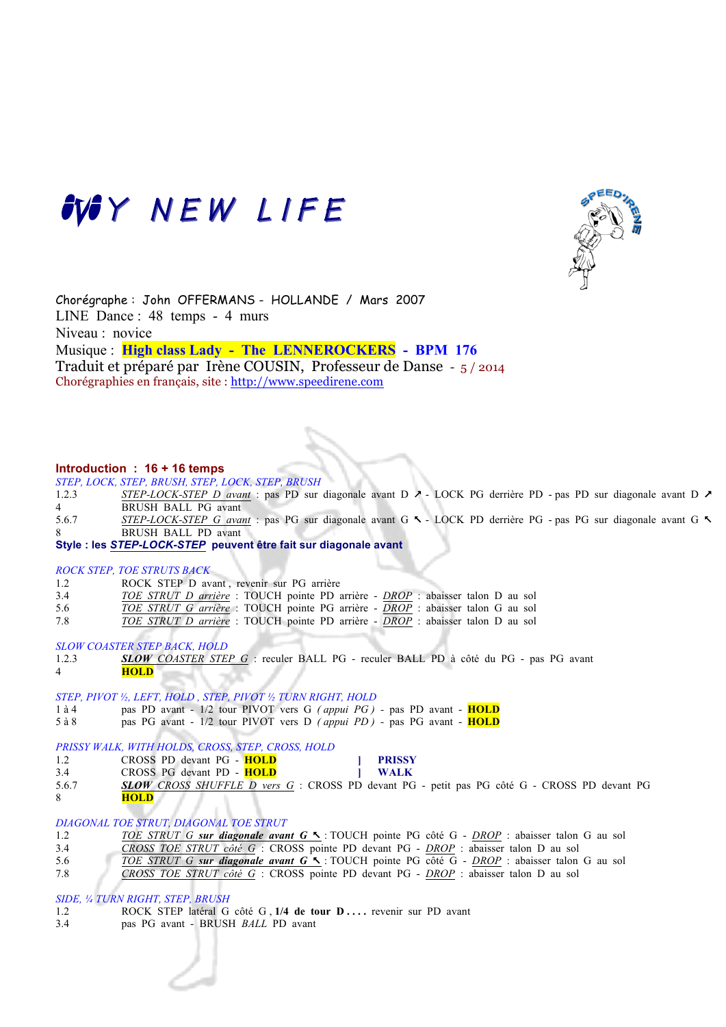



Chorégraphe : John OFFERMANS - HOLLANDE / Mars 2007 LINE Dance : 48 temps - 4 murs Niveau : novice Musique : **High class Lady - The LENNEROCKERS - BPM 176**  Traduit et préparé par Irène COUSIN, Professeur de Danse - 5 / 2014 Chorégraphies en français, site : http://www.speedirene.com

#### **Introduction : 16 + 16 temps**

*STEP, LOCK, STEP, BRUSH, STEP, LOCK, STEP, BRUSH*

- 1.2.3 *STEP-LOCK-STEP D avant* : pas PD sur diagonale avant D  $\lambda$  LOCK PG derrière PD pas PD sur diagonale avant D  $\lambda$ 4 BRUSH BALL PG avant 5.6.7 *STEP-LOCK-STEP G avant* : pas PG sur diagonale avant G % - LOCK PD derrière PG - pas PG sur diagonale avant G % 8 BRUSH BALL PD avant
- **Style : les** *STEP-LOCK-STEP* **peuvent être fait sur diagonale avant**

#### *ROCK STEP, TOE STRUTS BACK*

- 1.2 ROCK STEP D avant, revenir sur PG arrière<br>3.4 TOE STRUT D arrière : TOUCH pointe PD a
- 3.4 *TOE STRUT D arrière* : TOUCH pointe PD arrière *DROP* : abaisser talon D au sol
- 5.6 *TOE STRUT G arrière* : TOUCH pointe PG arrière *DROP* : abaisser talon G au sol
- 7.8 *TOE STRUT D arrière* : TOUCH pointe PD arrière *DROP* : abaisser talon D au sol

*SLOW COASTER STEP BACK, HOLD*

1.2.3 *SLOW COASTER STEP G* : reculer BALL PG - reculer BALL PD à côté du PG - pas PG avant 4 **HOLD**

# *STEP, PIVOT ½, LEFT, HOLD , STEP, PIVOT ½ TURN RIGHT, HOLD*

- 1 à 4 pas PD avant 1/2 tour PIVOT vers G *( appui PG ) -* pas PD avant **HOLD**
- 5 à 8 pas PG avant 1/2 tour PIVOT vers D *( appui PD )* pas PG avant **HOLD**

## *PRISSY WALK, WITH HOLDS, CROSS, STEP, CROSS, HOLD*

- 1.2 CROSS PD devant PG **HOLD ] PRISSY**
	-
- 3.4 CROSS PG devant PD **HOLD ] WALK**
- 5.6.7 *SLOW CROSS SHUFFLE D vers G* : CROSS PD devant PG petit pas PG côté G CROSS PD devant PG 8 **HOLD**

## *DIAGONAL TOE STRUT, DIAGONAL TOE STRUT*

| 1.2 | TOE STRUT G sur diagonale avant G S: TOUCH pointe PG côté G - DROP : abaisser talon G au sol  |
|-----|-----------------------------------------------------------------------------------------------|
| 3.4 | CROSS TOE STRUT côté G : CROSS pointe PD devant PG - DROP : abaisser talon D au sol           |
| 5.6 | TOE STRUT G sur diagonale avant G \ : TOUCH pointe PG côté G - DROP : abaisser talon G au sol |

7.8 *CROSS TOE STRUT côté G* : CROSS pointe PD devant PG - *DROP* : abaisser talon D au sol

#### *SIDE, ¼ TURN RIGHT, STEP, BRUSH*

- 1.2 ROCK STEP latéral G côté G , 1/4 de tour D .... revenir sur PD avant
- 3.4 pas PG avant BRUSH *BALL* PD avant